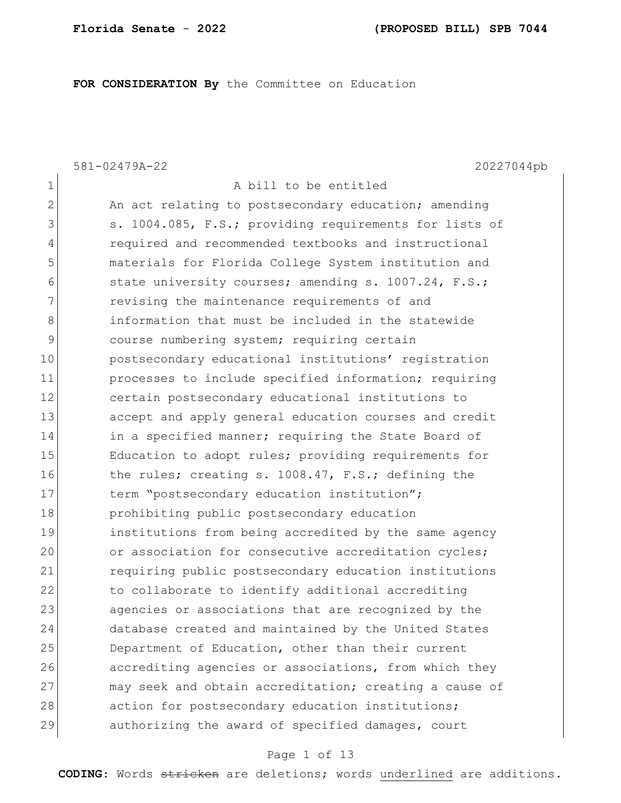**FOR CONSIDERATION By** the Committee on Education

1 A bill to be entitled

581-02479A-22 20227044pb

| $\mathbf{2}$ | An act relating to postsecondary education; amending   |
|--------------|--------------------------------------------------------|
| 3            | s. 1004.085, F.S.; providing requirements for lists of |
| 4            | required and recommended textbooks and instructional   |
| 5            | materials for Florida College System institution and   |
| 6            | state university courses; amending s. 1007.24, F.S.;   |
| 7            | revising the maintenance requirements of and           |
| 8            | information that must be included in the statewide     |
| $\mathsf 9$  | course numbering system; requiring certain             |
| 10           | postsecondary educational institutions' registration   |
| 11           | processes to include specified information; requiring  |
| 12           | certain postsecondary educational institutions to      |
| 13           | accept and apply general education courses and credit  |
| 14           | in a specified manner; requiring the State Board of    |
| 15           | Education to adopt rules; providing requirements for   |
| 16           | the rules; creating s. 1008.47, F.S.; defining the     |
| 17           | term "postsecondary education institution";            |
| 18           | prohibiting public postsecondary education             |
| 19           | institutions from being accredited by the same agency  |
| 20           | or association for consecutive accreditation cycles;   |
| 21           | requiring public postsecondary education institutions  |
| 22           | to collaborate to identify additional accrediting      |
| 23           | agencies or associations that are recognized by the    |
| 24           | database created and maintained by the United States   |
| 25           | Department of Education, other than their current      |
| 26           | accrediting agencies or associations, from which they  |
| 27           | may seek and obtain accreditation; creating a cause of |
| 28           | action for postsecondary education institutions;       |
| 29           | authorizing the award of specified damages, court      |
|              |                                                        |

## Page 1 of 13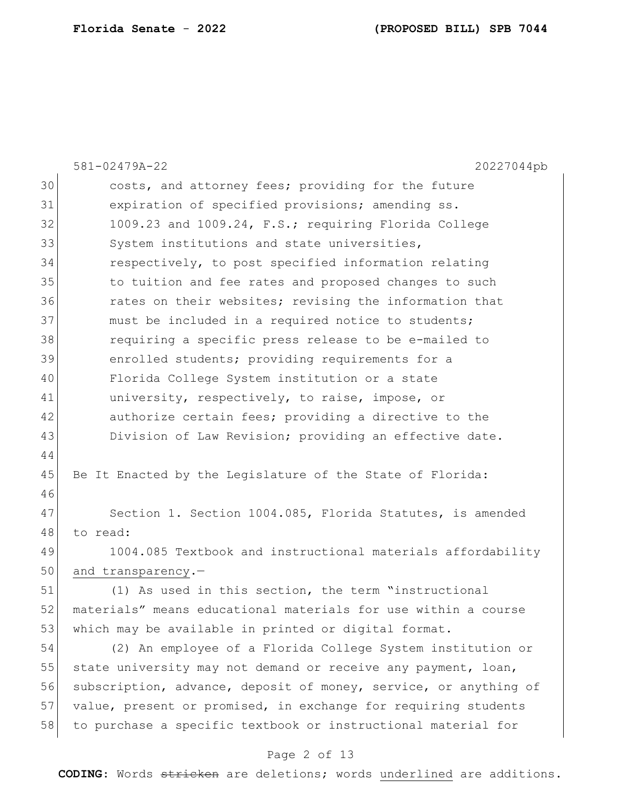|    | 581-02479A-22<br>20227044pb                                      |
|----|------------------------------------------------------------------|
| 30 | costs, and attorney fees; providing for the future               |
| 31 | expiration of specified provisions; amending ss.                 |
| 32 | 1009.23 and 1009.24, F.S.; requiring Florida College             |
| 33 | System institutions and state universities,                      |
| 34 | respectively, to post specified information relating             |
| 35 | to tuition and fee rates and proposed changes to such            |
| 36 | rates on their websites; revising the information that           |
| 37 | must be included in a required notice to students;               |
| 38 | requiring a specific press release to be e-mailed to             |
| 39 | enrolled students; providing requirements for a                  |
| 40 | Florida College System institution or a state                    |
| 41 | university, respectively, to raise, impose, or                   |
| 42 | authorize certain fees; providing a directive to the             |
| 43 | Division of Law Revision; providing an effective date.           |
| 44 |                                                                  |
| 45 | Be It Enacted by the Legislature of the State of Florida:        |
| 46 |                                                                  |
| 47 | Section 1. Section 1004.085, Florida Statutes, is amended        |
| 48 | to read:                                                         |
| 49 | 1004.085 Textbook and instructional materials affordability      |
| 50 | and transparency.-                                               |
| 51 | (1) As used in this section, the term "instructional             |
| 52 | materials" means educational materials for use within a course   |
| 53 | which may be available in printed or digital format.             |
| 54 | (2) An employee of a Florida College System institution or       |
| 55 | state university may not demand or receive any payment, loan,    |
| 56 | subscription, advance, deposit of money, service, or anything of |
| 57 | value, present or promised, in exchange for requiring students   |
| 58 | to purchase a specific textbook or instructional material for    |

# Page 2 of 13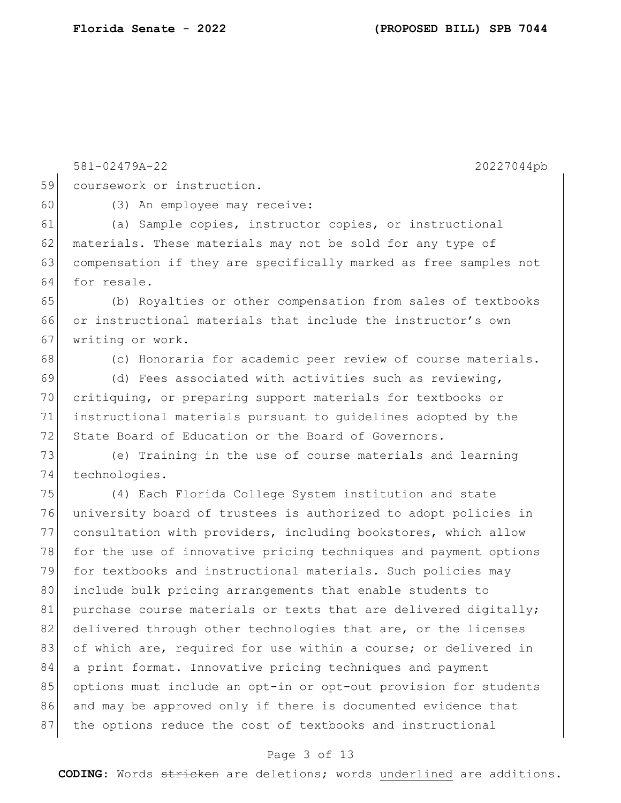581-02479A-22 20227044pb 59 coursework or instruction. 60 (3) An employee may receive: 61 (a) Sample copies, instructor copies, or instructional 62 materials. These materials may not be sold for any type of 63 compensation if they are specifically marked as free samples not 64 for resale. 65 (b) Royalties or other compensation from sales of textbooks 66 or instructional materials that include the instructor's own 67 writing or work. 68 (c) Honoraria for academic peer review of course materials. 69 (d) Fees associated with activities such as reviewing, 70 critiquing, or preparing support materials for textbooks or 71 instructional materials pursuant to guidelines adopted by the 72 State Board of Education or the Board of Governors. 73 (e) Training in the use of course materials and learning 74 technologies. 75 (4) Each Florida College System institution and state 76 university board of trustees is authorized to adopt policies in 77 consultation with providers, including bookstores, which allow 78 for the use of innovative pricing techniques and payment options 79 for textbooks and instructional materials. Such policies may 80 include bulk pricing arrangements that enable students to 81 purchase course materials or texts that are delivered digitally; 82 delivered through other technologies that are, or the licenses 83 of which are, required for use within a course; or delivered in 84 a print format. Innovative pricing techniques and payment 85 options must include an opt-in or opt-out provision for students 86 and may be approved only if there is documented evidence that 87 | the options reduce the cost of textbooks and instructional

### Page 3 of 13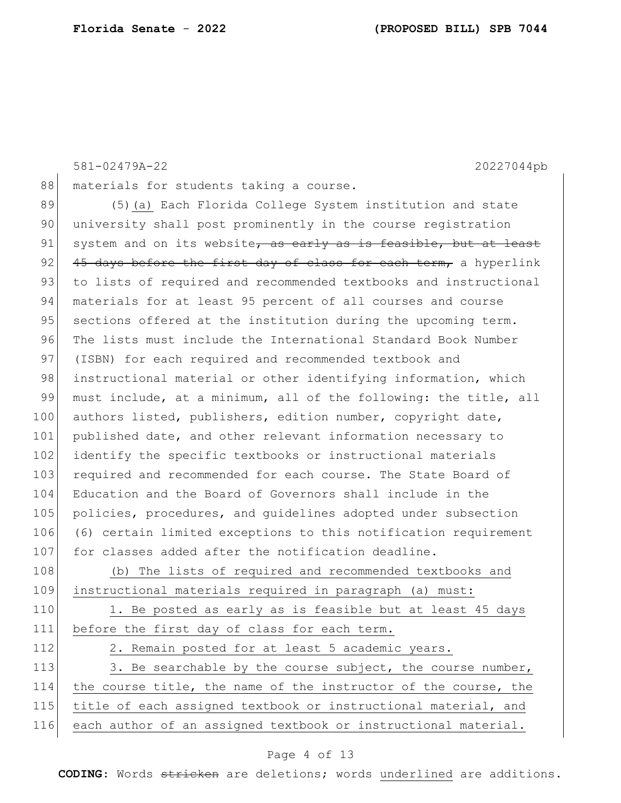|     | 581-02479A-22<br>20227044pb                                      |
|-----|------------------------------------------------------------------|
| 88  | materials for students taking a course.                          |
| 89  | (5) (a) Each Florida College System institution and state        |
| 90  | university shall post prominently in the course registration     |
| 91  | system and on its website, as early as is feasible, but at least |
| 92  | 45 days before the first day of class for each term, a hyperlink |
| 93  | to lists of required and recommended textbooks and instructional |
| 94  | materials for at least 95 percent of all courses and course      |
| 95  | sections offered at the institution during the upcoming term.    |
| 96  | The lists must include the International Standard Book Number    |
| 97  | (ISBN) for each required and recommended textbook and            |
| 98  | instructional material or other identifying information, which   |
| 99  | must include, at a minimum, all of the following: the title, all |
| 100 | authors listed, publishers, edition number, copyright date,      |
| 101 | published date, and other relevant information necessary to      |
| 102 | identify the specific textbooks or instructional materials       |
| 103 | required and recommended for each course. The State Board of     |
| 104 | Education and the Board of Governors shall include in the        |
| 105 | policies, procedures, and quidelines adopted under subsection    |
| 106 | (6) certain limited exceptions to this notification requirement  |
| 107 | for classes added after the notification deadline.               |
| 108 | (b) The lists of required and recommended textbooks and          |
| 109 | instructional materials required in paragraph (a) must:          |
| 110 | 1. Be posted as early as is feasible but at least 45 days        |
| 111 | before the first day of class for each term.                     |
| 112 | 2. Remain posted for at least 5 academic years.                  |
| 113 | 3. Be searchable by the course subject, the course number,       |
| 114 | the course title, the name of the instructor of the course, the  |
| 115 | title of each assigned textbook or instructional material, and   |
| 116 | each author of an assigned textbook or instructional material.   |

# Page 4 of 13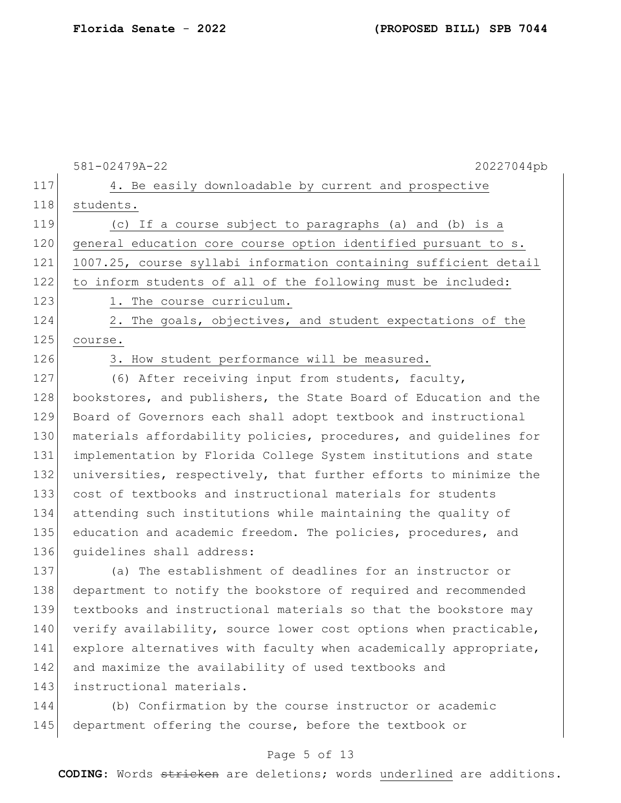|     | 581-02479A-22<br>20227044pb                                      |
|-----|------------------------------------------------------------------|
| 117 | 4. Be easily downloadable by current and prospective             |
| 118 | students.                                                        |
| 119 | (c) If a course subject to paragraphs (a) and (b) is a           |
| 120 | general education core course option identified pursuant to s.   |
| 121 | 1007.25, course syllabi information containing sufficient detail |
| 122 | to inform students of all of the following must be included:     |
| 123 | 1. The course curriculum.                                        |
| 124 | 2. The goals, objectives, and student expectations of the        |
| 125 | course.                                                          |
| 126 | 3. How student performance will be measured.                     |
| 127 | (6) After receiving input from students, faculty,                |
| 128 | bookstores, and publishers, the State Board of Education and the |
| 129 | Board of Governors each shall adopt textbook and instructional   |
| 130 | materials affordability policies, procedures, and quidelines for |
| 131 | implementation by Florida College System institutions and state  |
| 132 | universities, respectively, that further efforts to minimize the |
| 133 | cost of textbooks and instructional materials for students       |
| 134 | attending such institutions while maintaining the quality of     |
| 135 | education and academic freedom. The policies, procedures, and    |
| 136 | quidelines shall address:                                        |
| 137 | (a) The establishment of deadlines for an instructor or          |
| 138 | department to notify the bookstore of required and recommended   |
| 139 | textbooks and instructional materials so that the bookstore may  |
| 140 | verify availability, source lower cost options when practicable, |
| 141 | explore alternatives with faculty when academically appropriate, |
| 142 | and maximize the availability of used textbooks and              |
| 143 | instructional materials.                                         |
|     |                                                                  |

144 (b) Confirmation by the course instructor or academic 145 department offering the course, before the textbook or

## Page 5 of 13

**CODING**: Words stricken are deletions; words underlined are additions.

**Florida Senate** - **2022 (PROPOSED BILL) SPB 7044**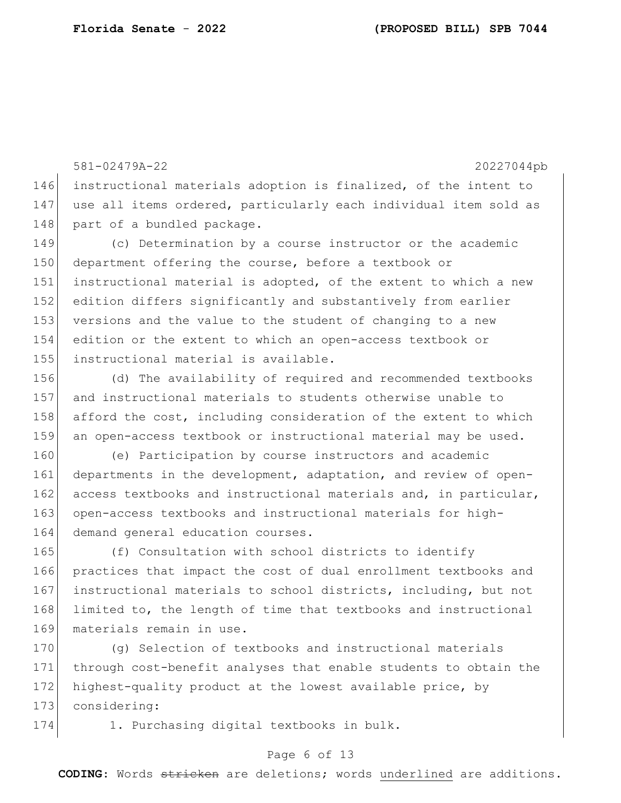581-02479A-22 20227044pb 146 instructional materials adoption is finalized, of the intent to 147 use all items ordered, particularly each individual item sold as 148 part of a bundled package. 149 (c) Determination by a course instructor or the academic 150 department offering the course, before a textbook or 151 instructional material is adopted, of the extent to which a new 152 edition differs significantly and substantively from earlier 153 versions and the value to the student of changing to a new 154 edition or the extent to which an open-access textbook or 155 instructional material is available.

 (d) The availability of required and recommended textbooks and instructional materials to students otherwise unable to afford the cost, including consideration of the extent to which an open-access textbook or instructional material may be used.

160 (e) Participation by course instructors and academic 161 departments in the development, adaptation, and review of open-162 access textbooks and instructional materials and, in particular, 163 open-access textbooks and instructional materials for high-164 demand general education courses.

165 (f) Consultation with school districts to identify 166 practices that impact the cost of dual enrollment textbooks and 167 instructional materials to school districts, including, but not 168 limited to, the length of time that textbooks and instructional 169 materials remain in use.

170 (g) Selection of textbooks and instructional materials 171 through cost-benefit analyses that enable students to obtain the 172 highest-quality product at the lowest available price, by 173 considering:

174 1. Purchasing digital textbooks in bulk.

### Page 6 of 13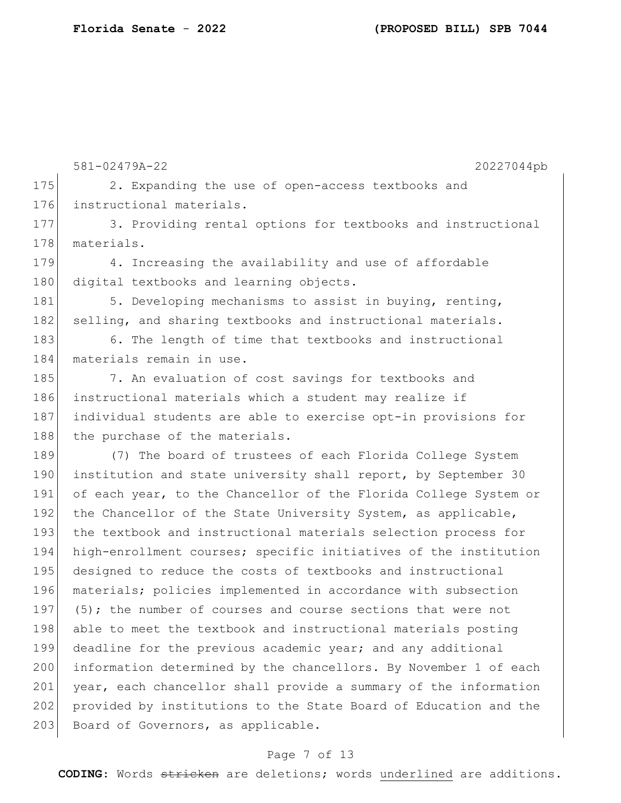581-02479A-22 20227044pb 175 2. Expanding the use of open-access textbooks and 176 instructional materials. 177 3. Providing rental options for textbooks and instructional 178 materials. 179 4. Increasing the availability and use of affordable 180 digital textbooks and learning objects. 181 5. Developing mechanisms to assist in buying, renting, 182 selling, and sharing textbooks and instructional materials. 183 6. The length of time that textbooks and instructional 184 materials remain in use. 185 7. An evaluation of cost savings for textbooks and 186 instructional materials which a student may realize if 187 individual students are able to exercise opt-in provisions for 188 the purchase of the materials. 189 (7) The board of trustees of each Florida College System 190 institution and state university shall report, by September 30 191 of each year, to the Chancellor of the Florida College System or 192 the Chancellor of the State University System, as applicable, 193 the textbook and instructional materials selection process for 194 high-enrollment courses; specific initiatives of the institution 195 designed to reduce the costs of textbooks and instructional 196 materials; policies implemented in accordance with subsection 197 (5); the number of courses and course sections that were not 198 able to meet the textbook and instructional materials posting 199 deadline for the previous academic year; and any additional 200 information determined by the chancellors. By November 1 of each 201 year, each chancellor shall provide a summary of the information 202 provided by institutions to the State Board of Education and the 203 Board of Governors, as applicable.

### Page 7 of 13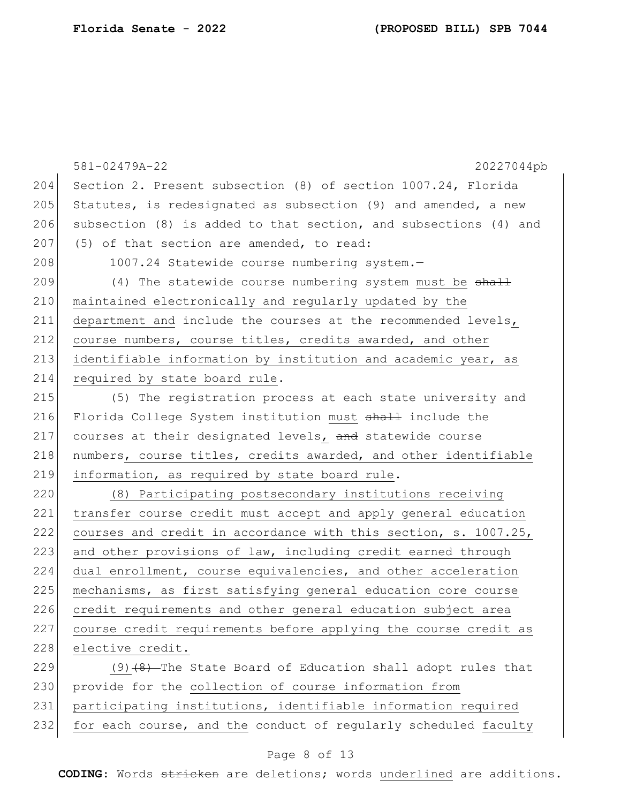|     | 581-02479A-22<br>20227044pb                                      |
|-----|------------------------------------------------------------------|
| 204 | Section 2. Present subsection (8) of section 1007.24, Florida    |
| 205 | Statutes, is redesignated as subsection (9) and amended, a new   |
| 206 | subsection (8) is added to that section, and subsections (4) and |
| 207 | (5) of that section are amended, to read:                        |
| 208 | 1007.24 Statewide course numbering system.-                      |
| 209 | (4) The statewide course numbering system must be shall          |
| 210 | maintained electronically and regularly updated by the           |
| 211 | department and include the courses at the recommended levels,    |
| 212 | course numbers, course titles, credits awarded, and other        |
| 213 | identifiable information by institution and academic year, as    |
| 214 | required by state board rule.                                    |
| 215 | (5) The registration process at each state university and        |
| 216 | Florida College System institution must shall include the        |
| 217 | courses at their designated levels, and statewide course         |
| 218 | numbers, course titles, credits awarded, and other identifiable  |
| 219 | information, as required by state board rule.                    |
| 220 | (8) Participating postsecondary institutions receiving           |
| 221 | transfer course credit must accept and apply general education   |
| 222 | courses and credit in accordance with this section, s. 1007.25,  |
| 223 | and other provisions of law, including credit earned through     |
| 224 | dual enrollment, course equivalencies, and other acceleration    |
| 225 | mechanisms, as first satisfying general education core course    |
| 226 | credit requirements and other general education subject area     |
| 227 | course credit requirements before applying the course credit as  |
| 228 | elective credit.                                                 |
| 229 | $(9)$ $(8)$ -The State Board of Education shall adopt rules that |
| 230 | provide for the collection of course information from            |
| 231 | participating institutions, identifiable information required    |

 $232$  for each course, and the conduct of regularly scheduled faculty

### Page 8 of 13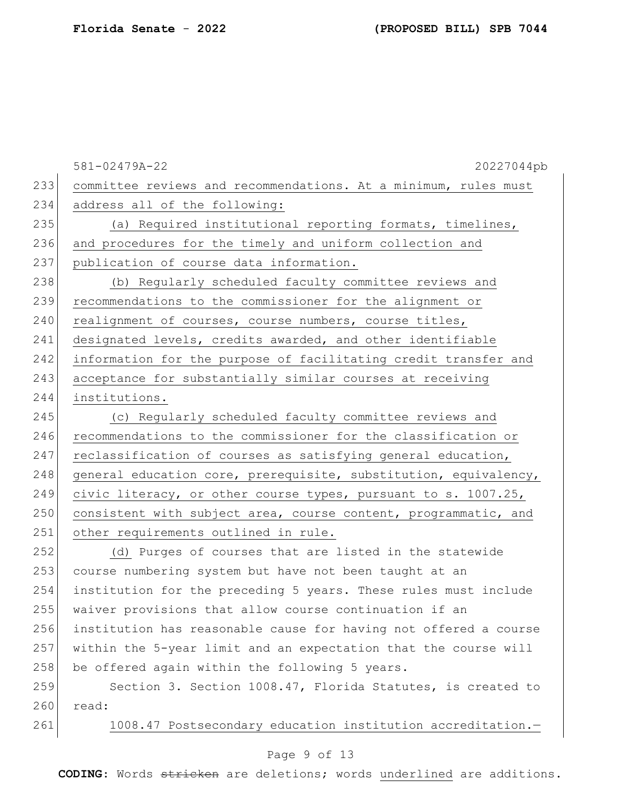581-02479A-22 20227044pb 233 committee reviews and recommendations. At a minimum, rules must 234 address all of the following: 235 (a) Required institutional reporting formats, timelines, 236 and procedures for the timely and uniform collection and 237 publication of course data information. 238 (b) Regularly scheduled faculty committee reviews and 239 recommendations to the commissioner for the alignment or 240 realignment of courses, course numbers, course titles, 241 designated levels, credits awarded, and other identifiable 242 information for the purpose of facilitating credit transfer and 243 acceptance for substantially similar courses at receiving 244 institutions. 245 (c) Regularly scheduled faculty committee reviews and 246 recommendations to the commissioner for the classification or  $247$  reclassification of courses as satisfying general education, 248 general education core, prerequisite, substitution, equivalency, 249 civic literacy, or other course types, pursuant to s. 1007.25, 250 consistent with subject area, course content, programmatic, and 251 other requirements outlined in rule. 252 (d) Purges of courses that are listed in the statewide 253 course numbering system but have not been taught at an 254 institution for the preceding 5 years. These rules must include 255 waiver provisions that allow course continuation if an 256 institution has reasonable cause for having not offered a course 257 within the 5-year limit and an expectation that the course will  $258$  be offered again within the following 5 years. 259 Section 3. Section 1008.47, Florida Statutes, is created to 260 read: 261 1008.47 Postsecondary education institution accreditation.-

### Page 9 of 13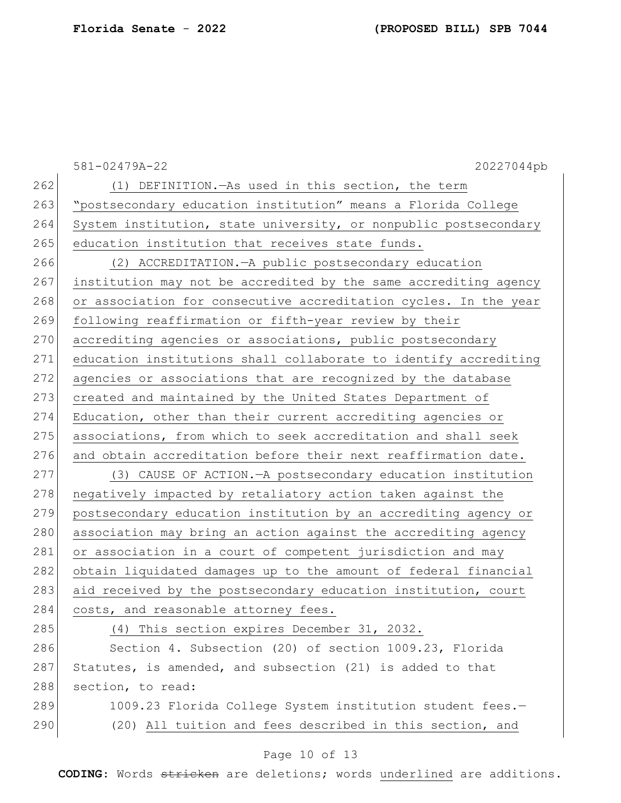|     | 581-02479A-22<br>20227044pb                                      |
|-----|------------------------------------------------------------------|
| 262 | (1) DEFINITION. - As used in this section, the term              |
| 263 | "postsecondary education institution" means a Florida College    |
| 264 | System institution, state university, or nonpublic postsecondary |
| 265 | education institution that receives state funds.                 |
| 266 | (2) ACCREDITATION. - A public postsecondary education            |
| 267 | institution may not be accredited by the same accrediting agency |
| 268 | or association for consecutive accreditation cycles. In the year |
| 269 | following reaffirmation or fifth-year review by their            |
| 270 | accrediting agencies or associations, public postsecondary       |
| 271 | education institutions shall collaborate to identify accrediting |
| 272 | agencies or associations that are recognized by the database     |
| 273 | created and maintained by the United States Department of        |
| 274 | Education, other than their current accrediting agencies or      |
| 275 | associations, from which to seek accreditation and shall seek    |
| 276 | and obtain accreditation before their next reaffirmation date.   |
| 277 | (3) CAUSE OF ACTION. - A postsecondary education institution     |
| 278 | negatively impacted by retaliatory action taken against the      |
| 279 | postsecondary education institution by an accrediting agency or  |
| 280 | association may bring an action against the accrediting agency   |
| 281 | or association in a court of competent jurisdiction and may      |
| 282 | obtain liquidated damages up to the amount of federal financial  |
| 283 | aid received by the postsecondary education institution, court   |
| 284 | costs, and reasonable attorney fees.                             |
| 285 | (4) This section expires December 31, 2032.                      |
| 286 | Section 4. Subsection (20) of section 1009.23, Florida           |
| 287 | Statutes, is amended, and subsection (21) is added to that       |
| 288 | section, to read:                                                |
| 289 | 1009.23 Florida College System institution student fees.-        |
| 290 | (20) All tuition and fees described in this section, and         |
|     |                                                                  |

# Page 10 of 13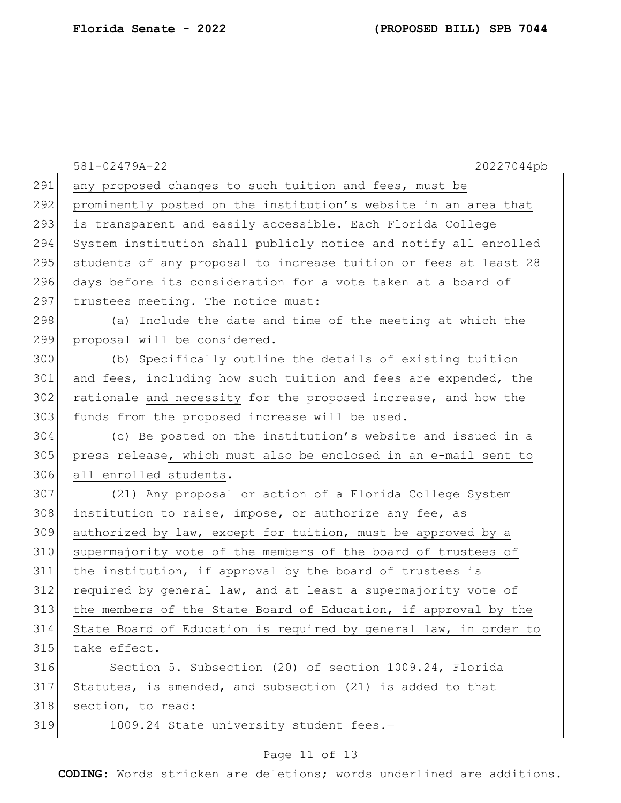|     | 581-02479A-22<br>20227044pb                                      |
|-----|------------------------------------------------------------------|
| 291 | any proposed changes to such tuition and fees, must be           |
| 292 | prominently posted on the institution's website in an area that  |
| 293 | is transparent and easily accessible. Each Florida College       |
| 294 | System institution shall publicly notice and notify all enrolled |
| 295 | students of any proposal to increase tuition or fees at least 28 |
| 296 | days before its consideration for a vote taken at a board of     |
| 297 | trustees meeting. The notice must:                               |
| 298 | (a) Include the date and time of the meeting at which the        |
| 299 | proposal will be considered.                                     |
| 300 | (b) Specifically outline the details of existing tuition         |
| 301 | and fees, including how such tuition and fees are expended, the  |
| 302 | rationale and necessity for the proposed increase, and how the   |
| 303 | funds from the proposed increase will be used.                   |
| 304 | (c) Be posted on the institution's website and issued in a       |
| 305 | press release, which must also be enclosed in an e-mail sent to  |
| 306 | all enrolled students.                                           |
| 307 | (21) Any proposal or action of a Florida College System          |
| 308 | institution to raise, impose, or authorize any fee, as           |
| 309 | authorized by law, except for tuition, must be approved by a     |
| 310 | supermajority vote of the members of the board of trustees of    |
| 311 | the institution, if approval by the board of trustees is         |
| 312 | required by general law, and at least a supermajority vote of    |
| 313 | the members of the State Board of Education, if approval by the  |
| 314 | State Board of Education is required by general law, in order to |
| 315 | take effect.                                                     |
| 316 | Section 5. Subsection (20) of section 1009.24, Florida           |
| 317 | Statutes, is amended, and subsection (21) is added to that       |
| 318 | section, to read:                                                |
| 319 | 1009.24 State university student fees.-                          |

# Page 11 of 13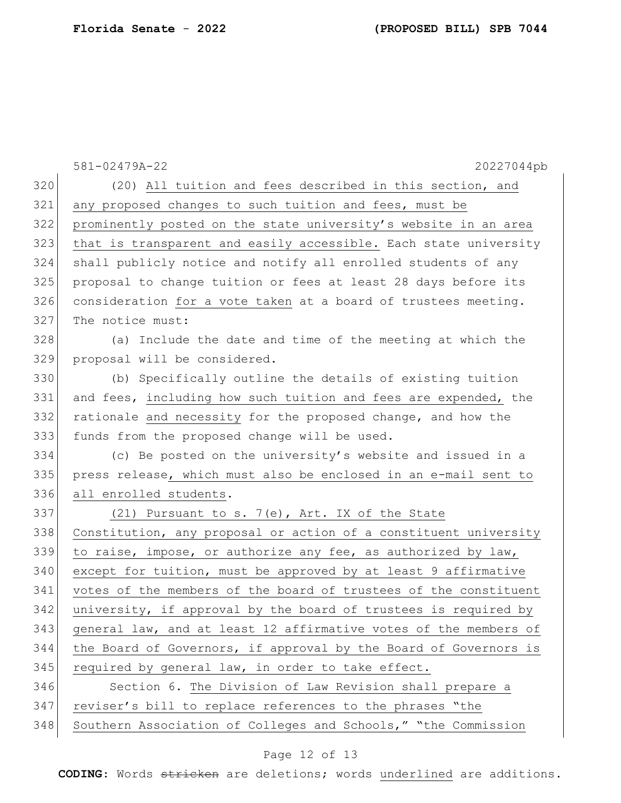|     | 581-02479A-22<br>20227044pb                                      |
|-----|------------------------------------------------------------------|
| 320 | (20) All tuition and fees described in this section, and         |
| 321 | any proposed changes to such tuition and fees, must be           |
| 322 | prominently posted on the state university's website in an area  |
| 323 | that is transparent and easily accessible. Each state university |
| 324 | shall publicly notice and notify all enrolled students of any    |
| 325 | proposal to change tuition or fees at least 28 days before its   |
| 326 | consideration for a vote taken at a board of trustees meeting.   |
| 327 | The notice must:                                                 |
| 328 | (a) Include the date and time of the meeting at which the        |
| 329 | proposal will be considered.                                     |
| 330 | (b) Specifically outline the details of existing tuition         |
| 331 | and fees, including how such tuition and fees are expended, the  |
| 332 | rationale and necessity for the proposed change, and how the     |
| 333 | funds from the proposed change will be used.                     |
| 334 | (c) Be posted on the university's website and issued in a        |
| 335 | press release, which must also be enclosed in an e-mail sent to  |
| 336 | all enrolled students.                                           |
| 337 | (21) Pursuant to s. 7(e), Art. IX of the State                   |
| 338 | Constitution, any proposal or action of a constituent university |
| 339 | to raise, impose, or authorize any fee, as authorized by law,    |
| 340 | except for tuition, must be approved by at least 9 affirmative   |
| 341 | votes of the members of the board of trustees of the constituent |
| 342 | university, if approval by the board of trustees is required by  |
| 343 | general law, and at least 12 affirmative votes of the members of |
| 344 | the Board of Governors, if approval by the Board of Governors is |
| 345 | required by general law, in order to take effect.                |
| 346 | Section 6. The Division of Law Revision shall prepare a          |
| 347 | reviser's bill to replace references to the phrases "the         |
| 348 | Southern Association of Colleges and Schools," "the Commission   |

# Page 12 of 13